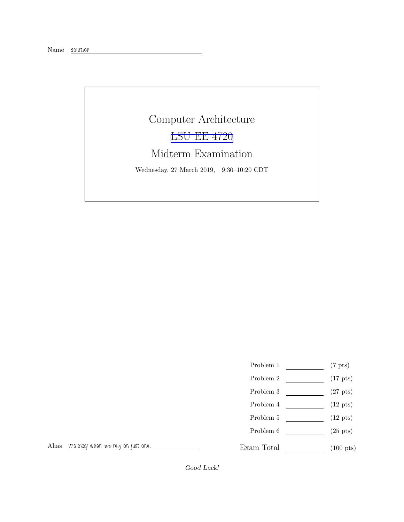Name Solution

## Computer Architecture [LSU EE 4720](https://www.ece.lsu.edu/ee4720/) Midterm Examination Wednesday, 27 March 2019, 9:30–10:20 CDT

- Problem 1  $(7 \text{ pts})$
- Problem 2  $\qquad \qquad$  (17 pts)
- Problem 3  $\qquad \qquad (27 \text{ pts})$
- Problem 4  $\qquad \qquad$  (12 pts)
- Problem 5 (12 pts)
- Problem  $6 \quad (25 \text{ pts})$
- Exam Total (100 pts)

Alias It's okay when we rely on just one.

Good Luck!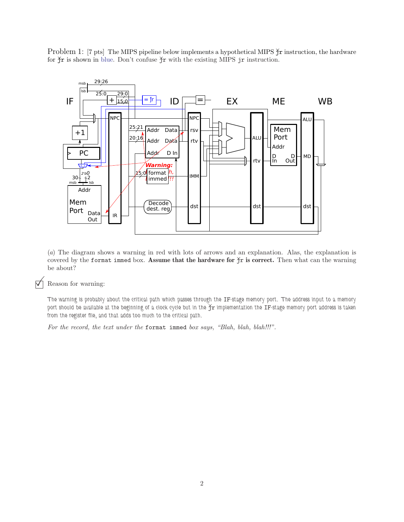Problem 1: [7 pts] The MIPS pipeline below implements a hypothetical MIPS  $\tilde{\Upsilon}$  instruction, the hardware for  $\check{\gamma}$ r is shown in blue. Don't confuse  $\check{\gamma}$ r with the existing MIPS jr instruction.



(a) The diagram shows a warning in red with lots of arrows and an explanation. Alas, the explanation is covered by the format immed box. Assume that the hardware for  $\frac{1}{2}r$  is correct. Then what can the warning be about?

## $\nabla$  Reason for warning:

The warning is probably about the critical path which passes through the IF-stage memory port. The address input to a memory port should be available at the beginning of a clock cycle but in the  $\frac{1}{T}r$  implementation the IF-stage memory port address is taken from the register file, and that adds too much to the critical path.

For the record, the text under the format immed box says, "Blah, blah, blah!!!".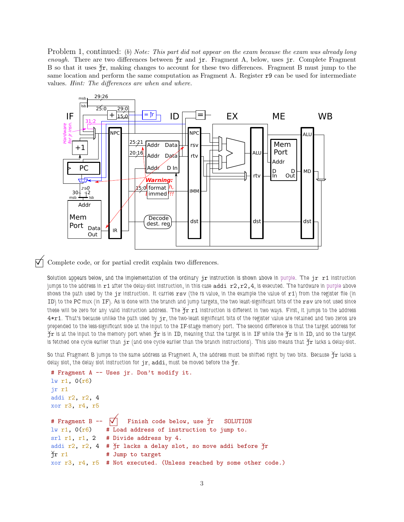Problem 1, continued: (b) Note: This part did not appear on the exam because the exam was already long enough. There are two differences between  $\tilde{f}r$  and jr. Fragment A, below, uses jr. Complete Fragment B so that it uses  $\tilde{\Upsilon}$ , making changes to account for these two differences. Fragment B must jump to the same location and perform the same computation as Fragment A. Register r9 can be used for intermediate values. Hint: The differences are when and where.



 $\triangledown$  Complete code, or for partial credit explain two differences.

Solution appears below, and the implementation of the ordinary  $\pi$  instruction is shown above in purple. The  $\pi$   $\pi$ 1 instruction jumps to the address in  $r1$  after the delay-slot instruction, in this case addi  $r2, r2, 4$ , is executed. The hardware in purple above shows the path used by the  $jr$  instruction. It carries  $rsv$  (the rs value, in the example the value of  $r1$ ) from the register file (in ID) to the PC mux (in IF). As is done with the branch and jump targets, the two least-significant bits of the rsv are not used since these will be zero for any valid instruction address. The  $\frac{X}{l}$ r1 instruction is different in two ways. First, it jumps to the address 4\*r1. That's because unlike the path used by jr, the two-least significant bits of the register value are retained and two zeros are prepended to the less-significant side at the input to the IF-stage memory port. The second difference is that the target address for  $\check\gamma_T$  is at the input to the memory port when  $\check\gamma_T$  is in ID, meaning that the target is in IF while the  $\check\gamma_T$  is in ID, and so the target is fetched one cycle earlier than  $jr$  (and one cycle earlier than the branch instructions). This also means that  $\hat{\jmath}r$  lacks a delay-slot.

So that Fragment B jumps to the same address as Fragment A, the address must be shifted right by two bits. Because  $\check{\jmath}r$  lacks a delay slot, the delay slot instruction for  $jr$ , addi, must be moved before the  $\sum r$ .

```
# Fragment A -- Uses jr. Don't modify it.
lw r1, 0(r6)
jr r1
addi r2, r2, 4
xor r3, r4, r5
# Fragment B -- \overrightarrow{\bigvee} Finish code below, use \overrightarrow{\uparrow} SOLUTION
lw r1, 0(r6) # Load address of instruction to jump to.
srl r1, r1, 2 # Divide address by 4.
addi r2, r2, 4 # \gammar lacks a delay slot, so move addi before \gammar
\gammar r1 # Jump to target
xor r3, r4, r5 # Not executed. (Unless reached by some other code.)
```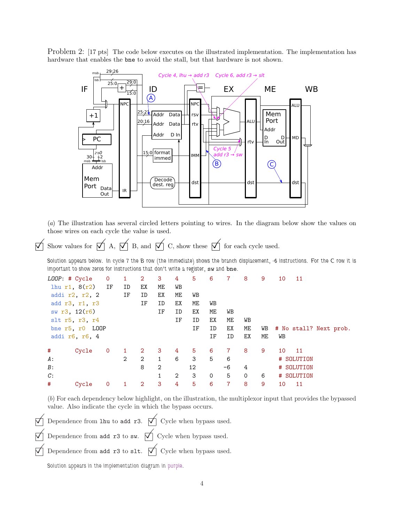Problem 2: [17 pts] The code below executes on the illustrated implementation. The implementation has hardware that enables the bne to avoid the stall, but that hardware is not shown.



(a) The illustration has several circled letters pointing to wires. In the diagram below show the values on those wires on each cycle the value is used.

 $\overrightarrow{p}$  Show values for  $\overrightarrow{p}$  A,  $\overrightarrow{p}$  B, and  $\overrightarrow{p}$  C, show these  $\overrightarrow{p}$  for each cycle used.

Solution appears below. In cycle 7 the B row (the immediate) shows the branch displacement, -6 instructions. For the C row it is important to show zeros for instructions that don't write a register, sw and bne.

| LOOP: # Cycle    |                   | $\mathbf 0$ |    | $\overline{2}$       | 3              | 4  | 5  | 6  |                | 8        | 9  | 10 | 11                     |  |
|------------------|-------------------|-------------|----|----------------------|----------------|----|----|----|----------------|----------|----|----|------------------------|--|
|                  | $1hu$ r1, $8(r2)$ | IF          | ID | ЕX                   | ME             | WB |    |    |                |          |    |    |                        |  |
|                  | addi r2, r2, 2    |             | ΙF | ID                   | ЕX             | ME | WВ |    |                |          |    |    |                        |  |
|                  | add r3, r1, r3    |             |    | ΙF                   | ID             | ЕX | ME | WB |                |          |    |    |                        |  |
|                  | sw r3, 12(r6)     |             |    |                      | ΙF             | ID | ЕX | МE | WB             |          |    |    |                        |  |
| $slt$ r5, r3, r4 |                   |             |    |                      |                | ΙF | ID | ЕX | ME             | WB       |    |    |                        |  |
| bne r5, r0 LOOP  |                   |             |    |                      |                |    | ΙF | ID | ЕX             | МE       | WB |    | # No stall? Next prob. |  |
| addi r6, r6, 4   |                   |             |    |                      |                | ΙF | ID | ЕX | ME             | WB       |    |    |                        |  |
| #                | Cycle             | $\mathbf 0$ |    | $\mathbf{2}^{\circ}$ | 3              | 4  | 5  | 6  | $\overline{7}$ | 8        | 9  | 10 | - 11                   |  |
| A:               |                   |             | 2  | $\overline{2}$       | $\mathbf{1}$   | 6  | 3  | 5  | 6              |          |    |    | # SOLUTION             |  |
| B:               |                   |             |    | 8                    | $\overline{2}$ |    | 12 |    | -6             | 4        |    |    | # SOLUTION             |  |
| C:               |                   |             |    |                      |                | 2  | 3  | 0  | 5              | $\Omega$ | 6  |    | # SOLUTION             |  |
|                  |                   |             |    |                      |                |    |    |    |                |          |    |    |                        |  |

(b) For each dependency below highlight, on the illustration, the multiplexor input that provides the bypassed value. Also indicate the cycle in which the bypass occurs.

 $\overrightarrow{\nabla}$  Dependence from lhu to add r3.  $\overrightarrow{\nabla}$  Cycle when bypass used. Dependence from add r3 to sw.  $\forall$  Cycle when bypass used.  $\forall$  Dependence from add r3 to slt.  $\forall$  Cycle when bypass used.

Solution appears in the implementation diagram in purple.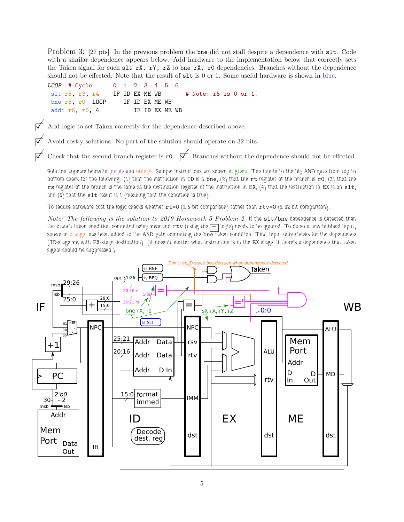Problem 3: [27 pts] In the previous problem the bne did not stall despite a dependence with slt. Code with a similar dependence appears below. Add hardware to the implementation below that correctly sets the Taken signal for such slt rX, rY, rZ to bne rX, r0 dependencies. Branches without the dependence should not be effected. Note that the result of slt is 0 or 1. Some useful hardware is shown in blue.

LOOP: # Cycle 0 1 2 3 4 5 6 slt r5, r3, r4 IF ID EX ME WB  $#$  Note: r5 is 0 or 1. bne r5, r0 LOOP IF ID EX ME WB addi r6, r6, 4 IF ID EX ME WB

 $\vec{\nabla}$  Add logic to set Taken correctly for the dependence described above.

Avoid costly solutions. No part of the solution should operate on 32 bits.

Check that the second branch register is  $r0. \nabla$  Branches without the dependence should not be effected.

Solution appears below in purple and orange. Sample instructions are shown in green. The inputs to the big AND gate from top to bottom check for the following: (1) that the instruction in ID is a bne, (2) that the rt register of the branch is  $r0$ , (3) that the rs register of the branch is the same as the destination register of the instruction in EX, (4) that the instruction in EX is an  $s1t$ , and (5) that the slt result is 1 (meaning that the condition is true).

To reduce hardware cost the logic checks whether  $rt=0$  (a 5-bit comparison) rather than  $rtv=0$  (a 32-bit comparison).

Note: The following is the solution to 2019 Homework 5 Problem 2. If the slt/bne dependence is detected then the branch taken condition computed using  $rsv$  and  $rtv$  (using the  $\boxed{=}$  logic) needs to be ignored. To do so a new bubbled input, shown in orange, has been added to the AND gate computing the bne taken condition. That input only checks for the dependence (ID-stage rs with EX-stage destination). (It doesn't matter what instruction is in the EX stage, if there's a dependence that taken signal should be suppressed.)

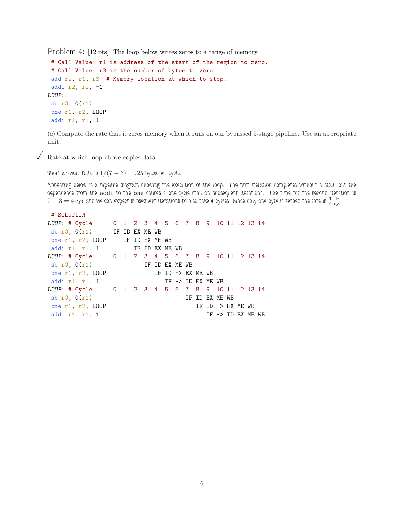Problem 4: [12 pts] The loop below writes zeros to a range of memory.

```
# Call Value: r1 is address of the start of the region to zero.
# Call Value: r3 is the number of bytes to zero.
add r2, r1, r3 # Memory location at which to stop.
 addi r2, r2, -1
LOOP:
 sb r0, 0(r1)
bne r1, r2, LOOP
addi r1, r1, 1
```
(a) Compute the rate that it zeros memory when it runs on our bypassed 5-stage pipeline. Use an appropriate unit.

Rate at which loop above copies data.

Short answer: Rate is  $1/(7-3) = .25$  bytes per cycle.

Appearing below is a pipeline diagram showing the execution of the loop. The first iteration completes without a stall, but the dependence from the addi to the bne causes a one-cycle stall on subsequent iterations. The time for the second iteration is  $7-3=4\,\rm{cyc}$  and we can expect subsequent iterations to also take 4 cycles. Since only one byte is zeroed the rate is  $\frac{1}{4}\frac{B}{\rm{cyc}}$ .

```
# SOLUTION
LOOP: # Cycle 0 1 2 3 4 5 6 7 8 9 10 11 12 13 14
sb r0, 0(r1) IF ID EX ME WB
bne r1, r2, LOOP IF ID EX ME WB
addi r1, r1, 1 IF ID EX ME WB
LOOP: # Cycle 0 1 2 3 4 5 6 7 8 9 10 11 12 13 14
sb r0, 0(r1) IF ID EX ME WB
bne r1, r2, LOOP IF ID \rightarrow EX ME WB
addi r1, r1, 1 IF \rightarrow ID EX ME WBLOOP: # Cycle 0 1 2 3 4 5 6 7 8 9 10 11 12 13 14
sb r0, 0(r1) IF ID EX ME WB
bne r1, r2, LOOP IF ID \rightarrow EX ME WB
addi r1, r1, 1 IF \rightarrow ID EX ME WB
```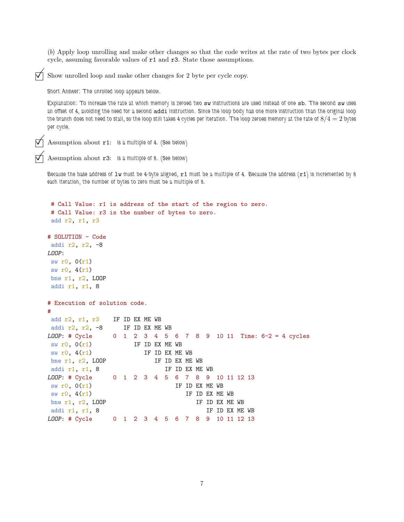(b) Apply loop unrolling and make other changes so that the code writes at the rate of two bytes per clock cycle, assuming favorable values of r1 and r3. State those assumptions.

Show unrolled loop and make other changes for 2 byte per cycle copy.

Short Answer: The unrolled loop appears below.

Explanation: To increase the rate at which memory is zeroed two sw instructions are used instead of one sb. The second sw uses an offset of 4, avoiding the need for a second addi instruction. Since the loop body has one more instruction than the original loop the branch does not need to stall, so the loop still takes 4 cycles per iteration. The loop zeroes memory at the rate of  $8/4 = 2$  bytes per cycle.

```
Assumption about r1: is a multiple of 4. (See below)
```

```
Assumption about r3: is a multiple of 8. (See below)
```
Because the base address of  $1w$  must be 4-byte aligned,  $r1$  must be a multiple of 4. Because the address  $(r1)$  is incremented by 8 each iteration, the number of bytes to zero must be a multiple of 8.

```
# Call Value: r1 is address of the start of the region to zero.
# Call Value: r3 is the number of bytes to zero.
add r2, r1, r3
# SOLUTION - Code
addi r2, r2, -8
LOOP:
sw r0, 0(r1)
sw r0, 4(r1)bne r1, r2, LOOP
addi r1, r1, 8
# Execution of solution code.
#
add r2, r1, r3 IF ID EX ME WB
addi r2, r2, -8 IF ID EX ME WB
LOOP: # Cycle 0 1 2 3 4 5 6 7 8 9 10 11 Time: 6-2 = 4 cycles
sw r0, O(r1) IF ID EX ME WB
sw r0, 4(r1) IF ID EX ME WB
bne r1, r2, LOOP IF ID EX ME WB
addi r1, r1, 8 IF ID EX ME WB
LOOP: # Cycle 0 1 2 3 4 5 6 7 8 9 10 11 12 13
\text{sw } \text{r0}, 0(\text{r1}) IF ID EX ME WB
sw r0, 4(r1) IF ID EX ME WB
bne r1, r2, LOOP IF ID EX ME WB
addi r1, r1, 8 IF ID EX ME WB
LOOP: # Cycle 0 1 2 3 4 5 6 7 8 9 10 11 12 13
```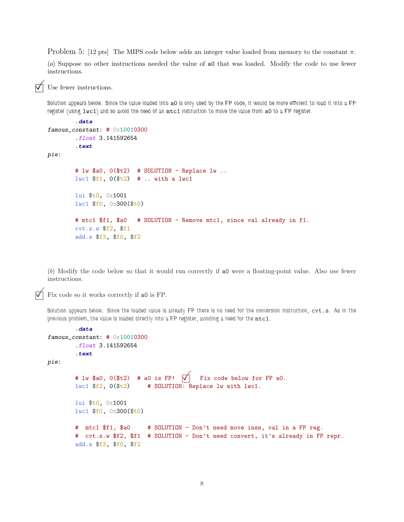Problem 5: [12 pts] The MIPS code below adds an integer value loaded from memory to the constant  $\pi$ .

(a) Suppose no other instructions needed the value of a0 that was loaded. Modify the code to use fewer instructions.

Use fewer instructions.

Solution appears below. Since the value loaded into a0 is only used by the FP code, it would be more efficient to load it into a FP register (using lwc1) and so avoid the need of an mtc1 instruction to move the value from a0 to a FP register.

```
.data
famous_constant: # 0x10010300
        .float 3.141592654
        .text
pie:
       # lw $a0, 0($t2) # SOLUTION - Replace lw ..
       lwc1 $f1, 0($t2) # .. with a lwc1
       lui $t0, 0x1001
       lwc1 $f0, 0x300($t0)
       # mtc1 $f1, $a0 # SOLUTION - Remove mtc1, since val already in f1.
        cvt.s.w $f2, $f1
       add.s $f3, $f0, $f2
```
(b) Modify the code below so that it would run correctly if a0 were a floating-point value. Also use fewer instructions.

Fix code so it works correctly if a0 is FP.

Solution appears below. Since the loaded value is already FP there is no need for the conversion instruction, cvt.s. As in the previous problem, the value is loaded directly into a FP register, avoiding a need for the  $mtc1$ .

```
.data
famous_constant: # 0x10010300
        .float 3.141592654
        .text
pie:
       # lw $a0, 0($t2) # a0 is FP! \sqrt{ } Fix code below for FP a0.
       lwc1 $f2, 0($t2) # SOLUTION: Replace lw with lwc1.
       lui $t0, 0x1001
       lwc1 $f0, 0x300($t0)
       # mtc1 $f1, $a0 # SOLUTION - Don't need move insn, val in a FP reg.
       # cvt.s.w $f2, $f1 # SOLUTION - Don't need convert, it's already in FP repr.
       add.s $f3, $f0, $f2
```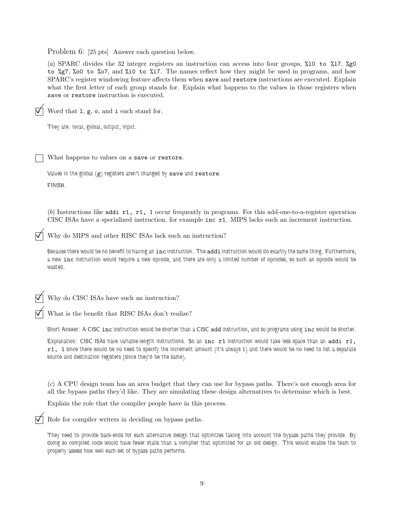Problem 6: [25 pts] Answer each question below.

(a) SPARC divides the 32 integer registers an instruction can access into four groups, %l0 to %l7, %g0 to %g7, %o0 to %o7, and %i0 to %i7. The names reflect how they might be used in programs, and how SPARC's register windowing feature affects them when save and restore instructions are executed. Explain what the first letter of each group stands for. Explain what happens to the values in those registers when save or restore instruction is executed.

 $\nabla$  Word that 1, g, o, and i each stand for. They are: local, global, output, input. What happens to values on a save or restore.

Values in the global (g) registers aren't changed by save and restore. FINISH.

(b) Instructions like addi r1, r1, 1 occur frequently in programs. For this add-one-to-a-register operation CISC ISAs have a specialized instruction, for example inc r1. MIPS lacks such an increment instruction.

Why do MIPS and other RISC ISAs lack such an instruction?

Because there would be no benefit to having an inc instruction. The addi instruction would do exactly the same thing. Furthermore, a new inc instruction would require a new opcode, and there are only a limited number of opcodes, so such an opcode would be wasted.

Why do CISC ISAs have such an instruction?

 $\nabla$  What is the benefit that RISC ISAs don't realize?

Short Answer: A CISC inc instruction would be shorter than a CISC add instruction, and so programs using inc would be shorter.

Explanation: CISC ISAs have variable-length instructions. So an inc r1 instruction would take less space than an addi r1, r1, 1 since there would be no need to specify the increment amount (it's always 1) and there would be no need to list a separate source and destination registers (since they'd be the same).

(c) A CPU design team has an area budget that they can use for bypass paths. There's not enough area for all the bypass paths they'd like. They are simulating these design alternatives to determine which is best.

Explain the role that the compiler people have in this process.

Role for compiler writers in deciding on bypass paths.

They need to provide back-ends for each alternative design that optimizes taking into account the bypass paths they provide. By doing so compiled code would have fewer stalls than a compiler that optimized for an old design. This would enable the team to properly assess how well each set of bypass paths performs.